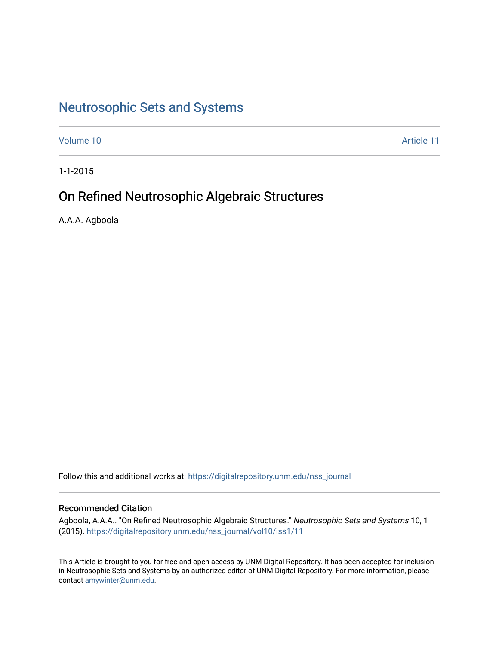# [Neutrosophic Sets and Systems](https://digitalrepository.unm.edu/nss_journal)

[Volume 10](https://digitalrepository.unm.edu/nss_journal/vol10) Article 11

1-1-2015

# On Refined Neutrosophic Algebraic Structures

A.A.A. Agboola

Follow this and additional works at: [https://digitalrepository.unm.edu/nss\\_journal](https://digitalrepository.unm.edu/nss_journal?utm_source=digitalrepository.unm.edu%2Fnss_journal%2Fvol10%2Fiss1%2F11&utm_medium=PDF&utm_campaign=PDFCoverPages) 

# Recommended Citation

Agboola, A.A.A.. "On Refined Neutrosophic Algebraic Structures." Neutrosophic Sets and Systems 10, 1 (2015). [https://digitalrepository.unm.edu/nss\\_journal/vol10/iss1/11](https://digitalrepository.unm.edu/nss_journal/vol10/iss1/11?utm_source=digitalrepository.unm.edu%2Fnss_journal%2Fvol10%2Fiss1%2F11&utm_medium=PDF&utm_campaign=PDFCoverPages) 

This Article is brought to you for free and open access by UNM Digital Repository. It has been accepted for inclusion in Neutrosophic Sets and Systems by an authorized editor of UNM Digital Repository. For more information, please contact [amywinter@unm.edu](mailto:amywinter@unm.edu).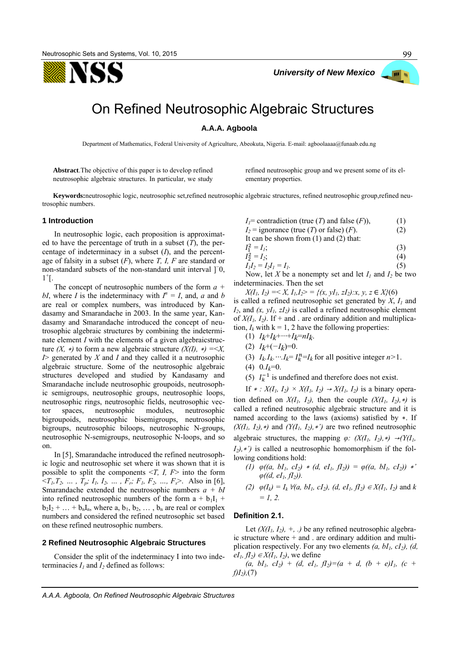YSS



99

# On Refined Neutrosophic Algebraic Structures

# **A.A.A. Agboola**

Department of Mathematics, Federal University of Agriculture, Abeokuta, Nigeria. E-mail: agboolaaaa@funaab.edu.ng

**Abstract**.The objective of this paper is to develop refined neutrosophic algebraic structures. In particular, we study refined neutrosophic group and we present some of its elementary properties.

**Keywords:**neutrosophic logic, neutrosophic set,refined neutrosophic algebraic structures, refined neutrosophic group,refined neutrosophic numbers.

#### **1 Introduction**

In neutrosophic logic, each proposition is approximated to have the percentage of truth in a subset (*T*), the percentage of indeterminacy in a subset (*I*), and the percentage of falsity in a subset (*F*), where *T, I, F* are standard or non-standard subsets of the non-standard unit interval ]<sup>−</sup> 0,  $1^+$ [.

The concept of neutrosophic numbers of the form *a + bI*, where *I* is the indeterminacy with  $I^n = I$ , and, *a* and *b* are real or complex numbers, was introduced by Kandasamy and Smarandache in 2003. In the same year, Kandasamy and Smarandache introduced the concept of neutrosophic algebraic structures by combining the indeterminate element *I* with the elements of a given algebraicstructure *(X, \*)* to form a new algebraic structure  $(X(I), *)=\leq X$ , *I*> generated by *X* and *I* and they called it a neutrosophic algebraic structure. Some of the neutrosophic algebraic structures developed and studied by Kandasamy and Smarandache include neutrosophic groupoids, neutrosophic semigroups, neutrosophic groups, neutrosophic loops, neutrosophic rings, neutrosophic fields, neutrosophic vector spaces, neutrosophic modules, neutrosophic bigroupoids, neutrosophic bisemigroups, neutrosophic bigroups, neutrosophic biloops, neutrosophic N-groups, neutrosophic N-semigroups, neutrosophic N-loops, and so on.

In [5], Smarandache introduced the refined neutrosophic logic and neutrosophic set where it was shown that it is possible to split the components <*T, I, F*> into the form  $(T_1, T_2, \ldots, T_p; I_1, I_2, \ldots, F_r; F_1, F_2, \ldots, F_s$ . Also in [6], Smarandache extended the neutrosophic numbers *a + bI* into refined neutrosophic numbers of the form  $a + b_1I_1 +$  $b_2I_2 + ... + b_nI_n$ , where a,  $b_1, b_2, ..., b_n$  are real or complex numbers and considered the refined neutrosophic set based on these refined neutrosophic numbers.

#### **2 Refined Neutrosophic Algebraic Structures**

Consider the split of the indeterminacy I into two indeterminacies  $I_1$  and  $I_2$  defined as follows:

$$
I_I =
$$
contradiction (true (*T*) and false (*F*)), (1)

$$
I_2 = \text{ignore} \text{ (true } (T) \text{ or false } (F). \tag{2}
$$

It can be shown from (1) and (2) that:  

$$
I^2 = I
$$

$$
I_1^2 = I_1;
$$
  
\n
$$
I_2^2 = I_2;
$$
  
\n(3)

$$
I_1 I_2 = I_2 I_1 = I_1.
$$
\n(3)

Now, let *X* be a nonempty set and let  $I_1$  and  $I_2$  be two indeterminacies. Then the set

*X*(*I*<sub>*l*</sub>, *I*<sub>2</sub>) =  $\langle X, I_1, I_2 \rangle = \{ (x, yI_1, zI_2) : x, y, z \in X \}$ (6) is called a refined neutrosophic set generated by *X*, *I1* and  $I_2$ , and  $(x, yI_1, zI_2)$  is called a refined neutrosophic element of  $X(I_1, I_2)$ . If + and . are ordinary addition and multiplication,  $I_k$  with  $k = 1, 2$  have the following properties:

- (1) *Ik*+*Ik*+*···*+*Ik*=*nIk*.
- (2)  $I_k+(−I_k)=0$ .
- (3)  $I_k I_k \cdots I_k = I_k^n = I_k$  for all positive integer  $n > 1$ .
- $(4)$  0. $I_k=0$ .
- (5)  $I_k^{-1}$  is undefined and therefore does not exist.

If *∗ : X*(*I<sub>I</sub>*, *I*<sub>2</sub>) × *X*(*I<sub>I</sub>*, *I*<sub>2</sub>) → *X*(*I<sub>I</sub>*, *I*<sub>2</sub>) is a binary operation defined on  $X(I_1, I_2)$ , then the couple  $(X(I_1, I_2), *)$  is called a refined neutrosophic algebraic structure and it is named according to the laws (axioms) satisfied by ∗. If  $(X(I_1, I_2), *)$  and  $(Y(I_1, I_2), *)$  are two refined neutrosophic algebraic structures, the mapping  $\varphi$ :  $(X(I_1, I_2), *) \rightarrow (Y(I_1, I_2))$ *I2),*∗*')* is called a neutrosophic homomorphism if the following conditions hold:

- *(1)*  $\varphi((a, bl_1, cl_2) * (d, el_1, fl_2)) = \varphi((a, bl_1, cl_2)) *'$ *φ((d, eI1, fI2)).*
- *(2)*  $\varphi(I_k) = I_k \ \forall (a, bI_1, cI_2), (d, eI_1, fI_2) \in X(I_1, I_2)$  and *k = 1, 2.*

## **Definition 2.1.**

Let  $(X(I_1, I_2), +, \ldots)$  be any refined neutrosophic algebraic structure where + and . are ordinary addition and multiplication respectively. For any two elements *(a, bI1, cI2), (d,*   $eI_1, fI_2$ *)* ∈ *X*( $I_1$ ,  $I_2$ ), we define

 $(a, bl_1, cl_2) + (d, el_1, fl_2) = (a + d, (b + e)I_1, (c + e)I_2$ *f)I2),*(7)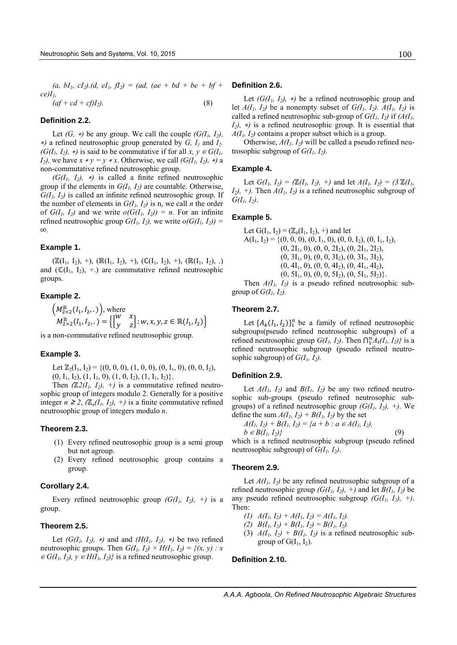$(a, bI_1, cI_2)$ . $(d, eI_1, fI_2) = (ad, (ae + bd + be + bf + bI))$ *ce)I1,* 

$$
(af + cd + cf)I2).
$$
 (8)

# **Definition 2.2.**

Let *(G, \*)* be any group. We call the couple *(G(I<sub>1</sub>, I<sub>2</sub>)*, <sup>∗</sup>*)* a refined neutrosophic group generated by *G, I1* and *I2. (G(I<sub>1</sub>, I<sub>2</sub>), \*)* is said to be commutative if for all *x, y*  $\in$  *G(I<sub>1</sub>, I*<sub>2</sub>*)*, we have  $x * y = y * x$ . Otherwise, we call *(G(I<sub>1</sub>*, *I*<sub>2</sub>*)*, \**)* a non-commutative refined neutrosophic group.

 $(G(I_1, I_2), *)$  is called a finite refined neutrosophic group if the elements in  $G(I_1, I_2)$  are countable. Otherwise,  $G(I_1, I_2)$  is called an infinite refined neutrosophic group. If the number of elements in  $G(I_1, I_2)$  is n, we call *n* the order of  $G(I_1, I_2)$  and we write  $o(G(I_1, I_2)) = n$ . For an infinite refined neutrosophic group  $G(I_1, I_2)$ , we write  $o(G(I_1, I_2))$  = ∞*.*

# **Example 1.**

 $(\mathbb{Z}(I_1, I_2), +), (\mathbb{R}(I_1, I_2), +), (\mathbb{C}(I_1, I_2), +), (\mathbb{R}(I_1, I_2), .)$ and  $(\mathbb{C}(I_1, I_2), +)$  are commutative refined neutrosophic groups.

### **Example 2.**

$$
\left(M_{2\times 2}^{\mathbb{R}}(I_1, I_2, .)\right), \text{ where}
$$
  

$$
M_{2\times 2}^{\mathbb{R}}(I_1, I_2, .) = \left\{ \begin{bmatrix} w & x \\ y & z \end{bmatrix} : w, x, y, z \in \mathbb{R}(I_1, I_2) \right\}
$$

is a non-commutative refined neutrosophic group.

#### **Example 3.**

Let  $\mathbb{Z}_2(I_1, I_2) = \{(0, 0, 0), (1, 0, 0), (0, I_1, 0), (0, 0, I_2),$  $(0, I_1, I_2), (1, I_1, 0), (1, 0, I_2), (1, I_1, I_2)\}.$ 

Then  $(\mathbb{Z}2(I_1, I_2), +)$  is a commutative refined neutrosophic group of integers modulo 2. Generally for a positive integer  $n \geq 2$ ,  $(\mathbb{Z}_n(I_1, I_2), +)$  is a finite commutative refined neutrosophic group of integers modulo *n*.

# **Theorem 2.3.**

- (1) Every refined neutrosophic group is a semi group but not agroup.
- (2) Every refined neutrosophic group contains a group.

#### **Corollary 2.4.**

Every refined neutrosophic group  $(G(I_1, I_2), +)$  is a group.

#### **Theorem 2.5.**

Let  $(G(I_1, I_2), *)$  and and  $(H(I_1, I_2), *)$  be two refined neutrosophic groups. Then  $G(I_1, I_2) \times H(I_1, I_2) = \{(x, y) : x$  $\in G(I_1, I_2), y \in H(I_1, I_2)$ } is a refined neutrosophic group.

#### **Definition 2.6.**

Let  $(G(I_1, I_2), *)$  be a refined neutrosophic group and let  $A(I_1, I_2)$  be a nonempty subset of  $G(I_1, I_2)$ .  $A(I_1, I_2)$  is called a refined neutrosophic sub-group of  $G(I_1, I_2)$  if  $(A(I_1, I_2))$  $I_2$ , \*) is a refined neutrosophic group. It is essential that  $A(I_1, I_2)$  contains a proper subset which is a group.

Otherwise,  $A(I_1, I_2)$  will be called a pseudo refined neutrosophic subgroup of  $G(I_1, I_2)$ .

#### **Example 4.**

Let  $G(I_1, I_2) = (\mathbb{Z}(I_1, I_2), +)$  and let  $A(I_1, I_2) = (3 \mathbb{Z}(I_1, I_2))$ *I*<sub>2</sub> $)$ , +). Then  $A(I_1, I_2)$  is a refined neutrosophic subgroup of  $G(I_1, I_2)$ .

#### **Example 5.**

Let  $G(I_1, I_2) = (\mathbb{Z}_6(I_1, I_2), +)$  and let  $A(I_1, I_2) = \{(0, 0, 0), (0, I_1, 0), (0, 0, I_2), (0, I_1, I_2),$  $(0, 2I_1, 0), (0, 0, 2I_2), (0, 2I_1, 2I_2),$  $(0, 3I_1, 0), (0, 0, 3I_2), (0, 3I_1, 3I_2),$  $(0, 4I_1, 0), (0, 0, 4I_2), (0, 4I_1, 4I_2),$  $(0, 5I_1, 0), (0, 0, 5I_2), (0, 5I_1, 5I_2)\}.$ 

Then  $A(I_1, I_2)$  is a pseudo refined neutrosophic subgroup of  $G(I_1, I_2)$ .

#### **Theorem 2.7.**

Let  $\{A_k(I_1, I_2)\}_1^n$  be a family of refined neutrosophic subgroups(pseudo refined neutrosophic subgroups) of a refined neutrosophic group  $G(I_1, I_2)$ . Then  $\bigcap_{1}^{n}A_k(I_1, I_2)$ *}* is a refined neutrosophic subgroup (pseudo refined neutrosophic subgroup) of  $G(I_1, I_2)$ .

# **Definition 2.9.**

Let  $A(I_1, I_2)$  and  $B(I_1, I_2)$  be any two refined neutrosophic sub-groups (pseudo refined neutrosophic subgroups) of a refined neutrosophic group  $(G(I_1, I_2), +)$ . We define the sum  $A(I_1, I_2) + B(I_1, I_2)$  by the set

$$
A(I_1, I_2) + B(I_1, I_2) = \{a + b : a \in A(I_1, I_2),
$$
  
\n
$$
b \in B(I_1, I_2)\}\tag{9}
$$

which is a refined neutrosophic subgroup (pseudo refined neutrosophic subgroup) of *G(I1, I2)*.

#### **Theorem 2.9.**

Let  $A(I_1, I_2)$  be any refined neutrosophic subgroup of a refined neutrosophic group  $(G(I_1, I_2), +)$  and let  $B(I_1, I_2)$  be any pseudo refined neutrosophic subgroup  $(G(I_1, I_2), +)$ . Then:

- (1)  $A(I_1, I_2) + A(I_1, I_2) = A(I_1, I_2).$
- (2)  $B(I_1, I_2) + B(I_1, I_2) = B(I_1, I_2).$
- (3)  $A(I_1, I_2) + B(I_1, I_2)$  is a refined neutrosophic subgroup of  $G(I_1, I_2)$ .

# **Definition 2.10.**